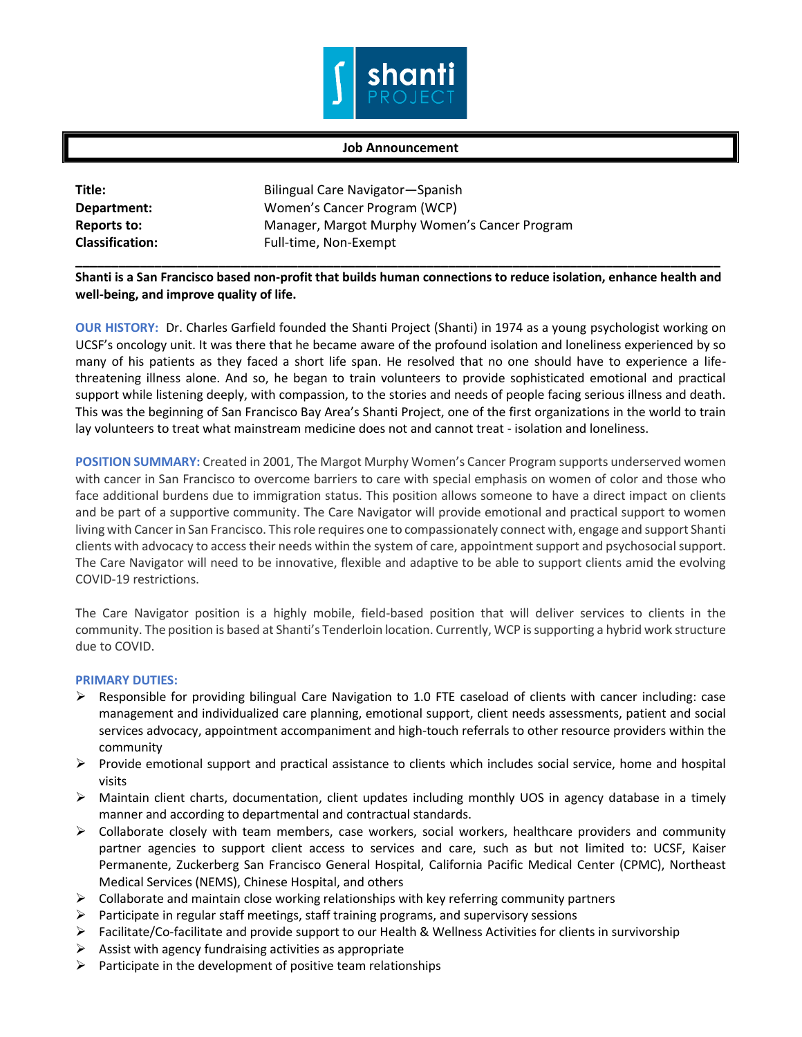

## **Job Announcement**

| Title:                 | Bilingual Care Navigator—Spanish              |
|------------------------|-----------------------------------------------|
| Department:            | Women's Cancer Program (WCP)                  |
| Reports to:            | Manager, Margot Murphy Women's Cancer Program |
| <b>Classification:</b> | Full-time, Non-Exempt                         |

**\_\_\_\_\_\_\_\_\_\_\_\_\_\_\_\_\_\_\_\_\_\_\_\_\_\_\_\_\_\_\_\_\_\_\_\_\_\_\_\_\_\_\_\_\_\_\_\_\_\_\_\_\_\_\_\_\_\_\_\_\_\_\_\_\_\_\_\_\_\_\_\_\_\_\_\_\_\_\_\_\_\_\_\_\_\_\_\_\_\_ Shanti is a San Francisco based non-profit that builds human connections to reduce isolation, enhance health and well-being, and improve quality of life.** 

**OUR HISTORY:** Dr. Charles Garfield founded the Shanti Project (Shanti) in 1974 as a young psychologist working on UCSF's oncology unit. It was there that he became aware of the profound isolation and loneliness experienced by so many of his patients as they faced a short life span. He resolved that no one should have to experience a lifethreatening illness alone. And so, he began to train volunteers to provide sophisticated emotional and practical support while listening deeply, with compassion, to the stories and needs of people facing serious illness and death. This was the beginning of San Francisco Bay Area's Shanti Project, one of the first organizations in the world to train lay volunteers to treat what mainstream medicine does not and cannot treat - isolation and loneliness.

**POSITION SUMMARY:** Created in 2001, The Margot Murphy Women's Cancer Program supports underserved women with cancer in San Francisco to overcome barriers to care with special emphasis on women of color and those who face additional burdens due to immigration status. This position allows someone to have a direct impact on clients and be part of a supportive community. The Care Navigator will provide emotional and practical support to women living with Cancer in San Francisco. This role requires one to compassionately connect with, engage and support Shanti clients with advocacy to access their needs within the system of care, appointment support and psychosocial support. The Care Navigator will need to be innovative, flexible and adaptive to be able to support clients amid the evolving COVID-19 restrictions.

The Care Navigator position is a highly mobile, field-based position that will deliver services to clients in the community. The position is based at Shanti's Tenderloin location. Currently, WCP is supporting a hybrid work structure due to COVID.

## **PRIMARY DUTIES:**

- $\triangleright$  Responsible for providing bilingual Care Navigation to 1.0 FTE caseload of clients with cancer including: case management and individualized care planning, emotional support, client needs assessments, patient and social services advocacy, appointment accompaniment and high-touch referrals to other resource providers within the community
- $\triangleright$  Provide emotional support and practical assistance to clients which includes social service, home and hospital visits
- $\triangleright$  Maintain client charts, documentation, client updates including monthly UOS in agency database in a timely manner and according to departmental and contractual standards.
- $\triangleright$  Collaborate closely with team members, case workers, social workers, healthcare providers and community partner agencies to support client access to services and care, such as but not limited to: UCSF, Kaiser Permanente, Zuckerberg San Francisco General Hospital, California Pacific Medical Center (CPMC), Northeast Medical Services (NEMS), Chinese Hospital, and others
- $\triangleright$  Collaborate and maintain close working relationships with key referring community partners
- $\triangleright$  Participate in regular staff meetings, staff training programs, and supervisory sessions
- Facilitate/Co-facilitate and provide support to our Health & Wellness Activities for clients in survivorship
- $\triangleright$  Assist with agency fundraising activities as appropriate
- $\triangleright$  Participate in the development of positive team relationships